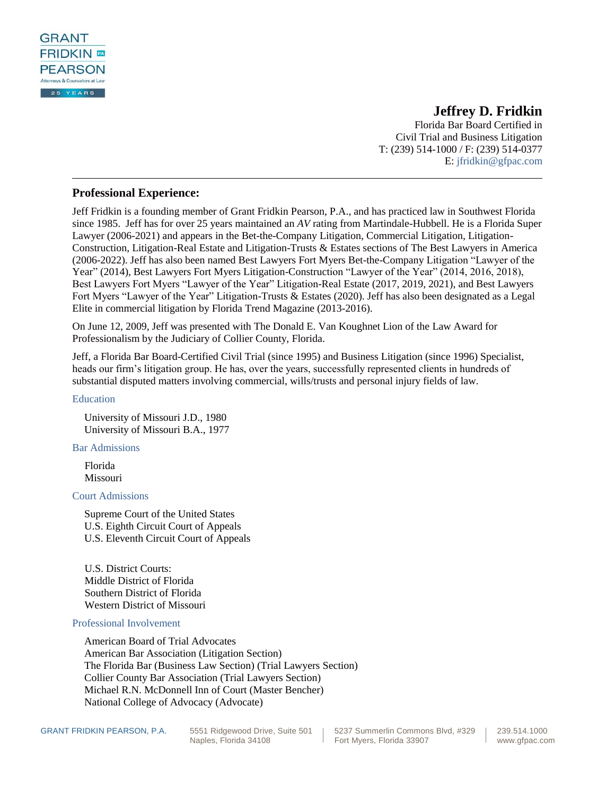

# **Jeffrey D. Fridkin**

Florida Bar Board Certified in Civil Trial and Business Litigation T: (239) 514-1000 / F: (239) 514-0377 E: [jfridkin@gfpac.com](mailto:jfridkin@gfpac.com)

## **Professional Experience:**

Jeff Fridkin is a founding member of Grant Fridkin Pearson, P.A., and has practiced law in Southwest Florida since 1985. Jeff has for over 25 years maintained an *AV* rating from Martindale-Hubbell. He is a Florida Super Lawyer (2006-2021) and appears in the Bet-the-Company Litigation, Commercial Litigation, Litigation-Construction, Litigation-Real Estate and Litigation-Trusts & Estates sections of The Best Lawyers in America (2006-2022). Jeff has also been named Best Lawyers Fort Myers Bet-the-Company Litigation "Lawyer of the Year" (2014), Best Lawyers Fort Myers Litigation-Construction "Lawyer of the Year" (2014, 2016, 2018), Best Lawyers Fort Myers "Lawyer of the Year" Litigation-Real Estate (2017, 2019, 2021), and Best Lawyers Fort Myers "Lawyer of the Year" Litigation-Trusts & Estates (2020). Jeff has also been designated as a Legal Elite in commercial litigation by Florida Trend Magazine (2013-2016).

On June 12, 2009, Jeff was presented with The Donald E. Van Koughnet Lion of the Law Award for Professionalism by the Judiciary of Collier County, Florida.

Jeff, a Florida Bar Board-Certified Civil Trial (since 1995) and Business Litigation (since 1996) Specialist, heads our firm's litigation group. He has, over the years, successfully represented clients in hundreds of substantial disputed matters involving commercial, wills/trusts and personal injury fields of law.

[Education](http://grant.netone360.com/jeffrey-fridkin/#1443608983559-4336432f-d3aac4bd-5183436a-a06e)

University of Missouri J.D., 1980 University of Missouri B.A., 1977

[Bar Admissions](http://grant.netone360.com/jeffrey-fridkin/#1443662918010-53d045c7-24d3c4bd-5183436a-a06e)

Florida Missouri

[Court Admissions](http://grant.netone360.com/jeffrey-fridkin/#1443662932820-e30b15f1-61dbc4bd-5183436a-a06e)

Supreme Court of the United States U.S. Eighth Circuit Court of Appeals U.S. Eleventh Circuit Court of Appeals

U.S. District Courts: Middle District of Florida Southern District of Florida Western District of Missouri

### [Professional Involvement](http://grant.netone360.com/jeffrey-fridkin/#1443662946087-e184f292-4371c4bd-5183436a-a06e)

American Board of Trial Advocates American Bar Association (Litigation Section) The Florida Bar (Business Law Section) (Trial Lawyers Section) Collier County Bar Association (Trial Lawyers Section) Michael R.N. McDonnell Inn of Court (Master Bencher) National College of Advocacy (Advocate)

GRANT FRIDKIN PEARSON, P.A. 5551 Ridgewood Drive, Suite 501 5237 Summerlin Commons Blvd, #329 239.514.1000<br>Fort Myers, Florida 33907 www.gfpac.co Fort Myers, Florida 33907 **Fort Myers**, Florida 33907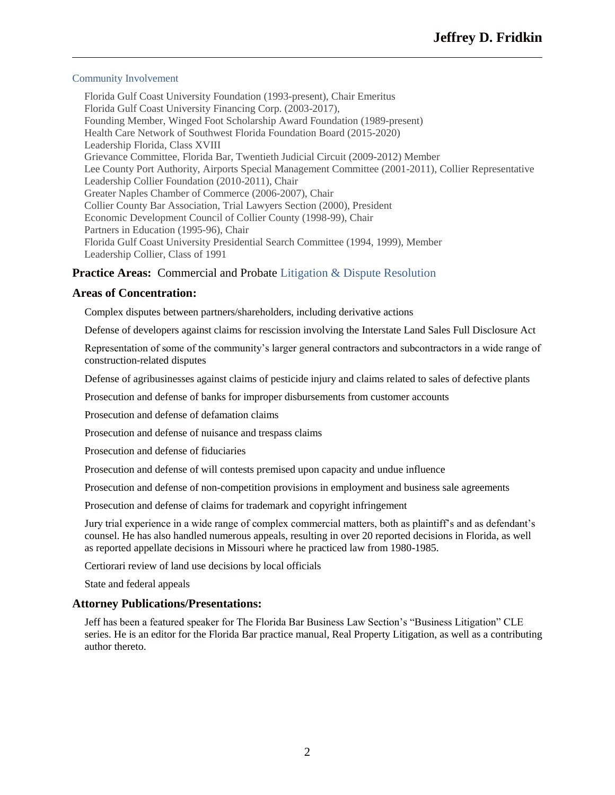### [Community Involvement](http://grant.netone360.com/jeffrey-fridkin/#1472574750202-0d0c25f2-5762436a-a06e)

Florida Gulf Coast University Foundation (1993-present), Chair Emeritus Florida Gulf Coast University Financing Corp. (2003-2017), Founding Member, Winged Foot Scholarship Award Foundation (1989-present) Health Care Network of Southwest Florida Foundation Board (2015-2020) Leadership Florida, Class XVIII Grievance Committee, Florida Bar, Twentieth Judicial Circuit (2009-2012) Member Lee County Port Authority, Airports Special Management Committee (2001-2011), Collier Representative Leadership Collier Foundation (2010-2011), Chair Greater Naples Chamber of Commerce (2006-2007), Chair Collier County Bar Association, Trial Lawyers Section (2000), President Economic Development Council of Collier County (1998-99), Chair Partners in Education (1995-96), Chair Florida Gulf Coast University Presidential Search Committee (1994, 1999), Member Leadership Collier, Class of 1991

# **Practice Areas:** Commercial and Probate [Litigation & Dispute Resolution](http://grant.netone360.com/litigation-dispute-resolution/)

### **Areas of Concentration:**

Complex disputes between partners/shareholders, including derivative actions

Defense of developers against claims for rescission involving the Interstate Land Sales Full Disclosure Act

Representation of some of the community's larger general contractors and subcontractors in a wide range of construction-related disputes

Defense of agribusinesses against claims of pesticide injury and claims related to sales of defective plants

Prosecution and defense of banks for improper disbursements from customer accounts

Prosecution and defense of defamation claims

Prosecution and defense of nuisance and trespass claims

Prosecution and defense of fiduciaries

Prosecution and defense of will contests premised upon capacity and undue influence

Prosecution and defense of non-competition provisions in employment and business sale agreements

Prosecution and defense of claims for trademark and copyright infringement

Jury trial experience in a wide range of complex commercial matters, both as plaintiff's and as defendant's counsel. He has also handled numerous appeals, resulting in over 20 reported decisions in Florida, as well as reported appellate decisions in Missouri where he practiced law from 1980-1985.

Certiorari review of land use decisions by local officials

State and federal appeals

### **Attorney Publications/Presentations:**

Jeff has been a featured speaker for The Florida Bar Business Law Section's "Business Litigation" CLE series. He is an editor for the Florida Bar practice manual, Real Property Litigation, as well as a contributing author thereto.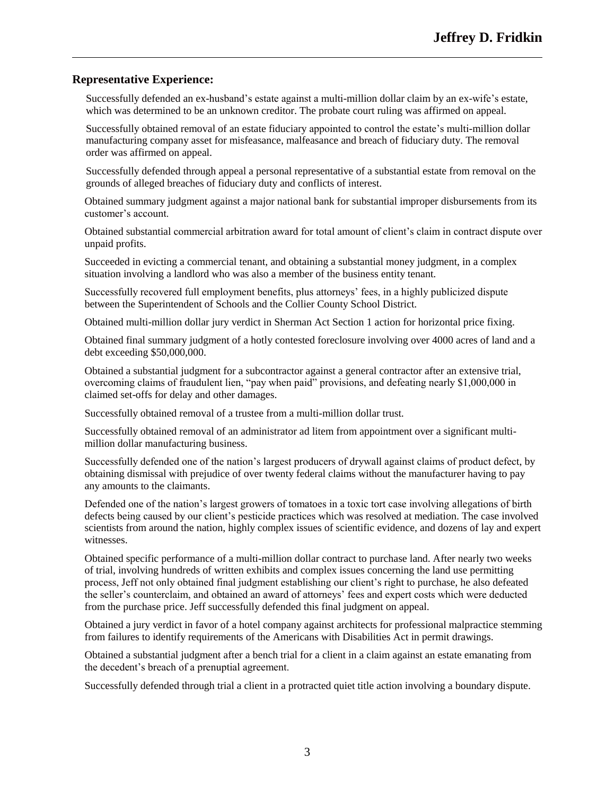## **Representative Experience:**

Successfully defended an ex-husband's estate against a multi-million dollar claim by an ex-wife's estate, which was determined to be an unknown creditor. The probate court ruling was affirmed on appeal.

Successfully obtained removal of an estate fiduciary appointed to control the estate's multi-million dollar manufacturing company asset for misfeasance, malfeasance and breach of fiduciary duty. The removal order was affirmed on appeal.

Successfully defended through appeal a personal representative of a substantial estate from removal on the grounds of alleged breaches of fiduciary duty and conflicts of interest.

Obtained summary judgment against a major national bank for substantial improper disbursements from its customer's account.

Obtained substantial commercial arbitration award for total amount of client's claim in contract dispute over unpaid profits.

Succeeded in evicting a commercial tenant, and obtaining a substantial money judgment, in a complex situation involving a landlord who was also a member of the business entity tenant.

Successfully recovered full employment benefits, plus attorneys' fees, in a highly publicized dispute between the Superintendent of Schools and the Collier County School District.

Obtained multi-million dollar jury verdict in Sherman Act Section 1 action for horizontal price fixing.

Obtained final summary judgment of a hotly contested foreclosure involving over 4000 acres of land and a debt exceeding \$50,000,000.

Obtained a substantial judgment for a subcontractor against a general contractor after an extensive trial, overcoming claims of fraudulent lien, "pay when paid" provisions, and defeating nearly \$1,000,000 in claimed set-offs for delay and other damages.

Successfully obtained removal of a trustee from a multi-million dollar trust.

Successfully obtained removal of an administrator ad litem from appointment over a significant multimillion dollar manufacturing business.

Successfully defended one of the nation's largest producers of drywall against claims of product defect, by obtaining dismissal with prejudice of over twenty federal claims without the manufacturer having to pay any amounts to the claimants.

Defended one of the nation's largest growers of tomatoes in a toxic tort case involving allegations of birth defects being caused by our client's pesticide practices which was resolved at mediation. The case involved scientists from around the nation, highly complex issues of scientific evidence, and dozens of lay and expert witnesses.

Obtained specific performance of a multi-million dollar contract to purchase land. After nearly two weeks of trial, involving hundreds of written exhibits and complex issues concerning the land use permitting process, Jeff not only obtained final judgment establishing our client's right to purchase, he also defeated the seller's counterclaim, and obtained an award of attorneys' fees and expert costs which were deducted from the purchase price. Jeff successfully defended this final judgment on appeal.

Obtained a jury verdict in favor of a hotel company against architects for professional malpractice stemming from failures to identify requirements of the Americans with Disabilities Act in permit drawings.

Obtained a substantial judgment after a bench trial for a client in a claim against an estate emanating from the decedent's breach of a prenuptial agreement.

Successfully defended through trial a client in a protracted quiet title action involving a boundary dispute.